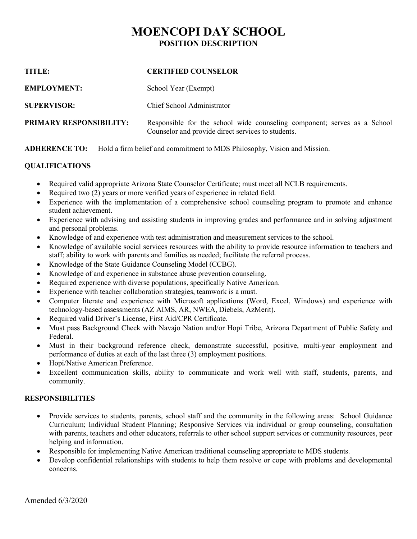# **MOENCOPI DAY SCHOOL POSITION DESCRIPTION**

| TITLE:                         | <b>CERTIFIED COUNSELOR</b>                                                                                                     |
|--------------------------------|--------------------------------------------------------------------------------------------------------------------------------|
| <b>EMPLOYMENT:</b>             | School Year (Exempt)                                                                                                           |
| <b>SUPERVISOR:</b>             | Chief School Administrator                                                                                                     |
| <b>PRIMARY RESPONSIBILITY:</b> | Responsible for the school wide counseling component; serves as a School<br>Counselor and provide direct services to students. |

**ADHERENCE TO:** Hold a firm belief and commitment to MDS Philosophy, Vision and Mission.

## **QUALIFICATIONS**

- Required valid appropriate Arizona State Counselor Certificate; must meet all NCLB requirements.
- Required two (2) years or more verified years of experience in related field.
- Experience with the implementation of a comprehensive school counseling program to promote and enhance student achievement.
- Experience with advising and assisting students in improving grades and performance and in solving adjustment and personal problems.
- Knowledge of and experience with test administration and measurement services to the school.
- Knowledge of available social services resources with the ability to provide resource information to teachers and staff; ability to work with parents and families as needed; facilitate the referral process.
- Knowledge of the State Guidance Counseling Model (CCBG).
- Knowledge of and experience in substance abuse prevention counseling.
- Required experience with diverse populations, specifically Native American.
- Experience with teacher collaboration strategies, teamwork is a must.
- Computer literate and experience with Microsoft applications (Word, Excel, Windows) and experience with technology-based assessments (AZ AIMS, AR, NWEA, Diebels, AzMerit).
- Required valid Driver's License, First Aid/CPR Certificate.
- Must pass Background Check with Navajo Nation and/or Hopi Tribe, Arizona Department of Public Safety and Federal.
- Must in their background reference check, demonstrate successful, positive, multi-year employment and performance of duties at each of the last three (3) employment positions.
- Hopi/Native American Preference.
- Excellent communication skills, ability to communicate and work well with staff, students, parents, and community.

## **RESPONSIBILITIES**

- Provide services to students, parents, school staff and the community in the following areas: School Guidance Curriculum; Individual Student Planning; Responsive Services via individual or group counseling, consultation with parents, teachers and other educators, referrals to other school support services or community resources, peer helping and information.
- Responsible for implementing Native American traditional counseling appropriate to MDS students.
- Develop confidential relationships with students to help them resolve or cope with problems and developmental concerns.